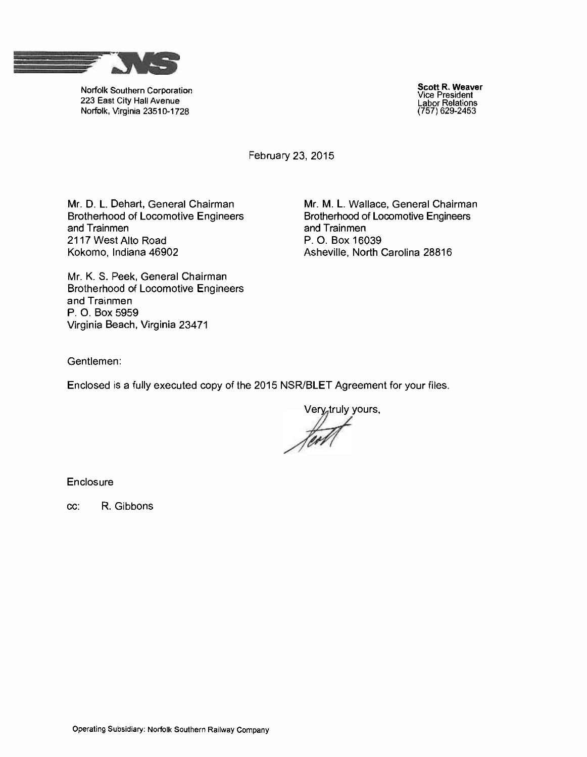

Norfolk Southern Corporation 223 East City Hall Avenue Norfolk, Virginia 23510-1728

Scott R. Weaver Vice President Labor Relations (757) 629-2453

February 23, 2015

Mr. D. L. Dehart, General Chairman Brotherhood of Locomotive Engineers and Trainmen 2117 West Alto Road Kokomo, Indiana 46902

Mr. M. L. Wallace, General Chairman Brotherhood of Locomotive Engineers and Trainmen P. O. Box 16039 Asheville, North Carolina 28816

Mr. K. S. Peek, General Chairman Brotherhood of Locomotive Engineers and Trainmen P. O. Box 5959 Virginia Beach, Virginia 23471

Gentlemen:

Enclosed is a fully executed copy of the 2015 NSR/BLET Agreement for your files.

Very truly yours,

**Enclosure** 

cc: R. Gibbons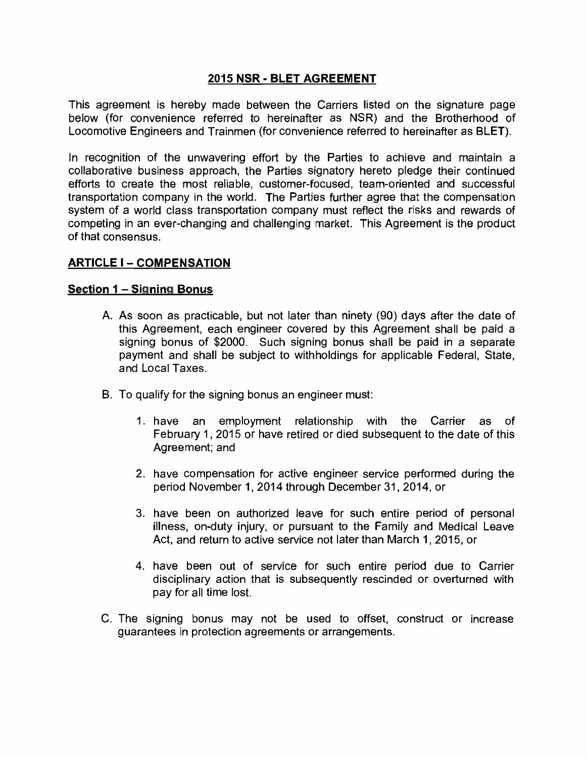### 2015 NSR - BLET AGREEMENT

This agreement is hereby made between the Carriers listed on the signature page below (for convenience referred to hereinafter as NSR) and the Brotherhood of Locomotive Engineers and Trainmen (for convenience referred to hereinafter as BLET).

In recognition of the unwavering effort by the Parties to achieve and maintain a collaborative business approach, the Parties signatory hereto pledge their continued efforts to create the most reliable, customer -focused, team -oriented and successful transportation company in the world. The Parties further agree that the compensation system of a world class transportation company must reflect the risks and rewards of competing in an ever -changing and challenging market. This Agreement is the product of that consensus.

### **ARTICLE I - COMPENSATION**

#### Section 1 - Signing Bonus

- A. As soon as practicable, but not later than ninety (90) days after the date of this Agreement, each engineer covered by this Agreement shall be paid a signing bonus of \$2000. Such signing bonus shall be paid in a separate payment and shall be subject to withholdings for applicable Federal, State, and Local Taxes.
- B. To qualify for the signing bonus an engineer must:
	- 1. have an employment relationship with the Carrier as of February 1, 2015 or have retired or died subsequent to the date of this Agreement; and
	- 2. have compensation for active engineer service performed during the period November 1, 2014 through December 31, 2014, or
	- 3. have been on authorized leave for such entire period of personal illness, on -duty injury, or pursuant to the Family and Medical Leave Act, and return to active service not later than March 1, 2015, or
	- 4. have been out of service for such entire period due to Carrier disciplinary action that is subsequently rescinded or overturned with pay for all time lost.
- C. The signing bonus may not be used to offset, construct or increase guarantees in protection agreements or arrangements.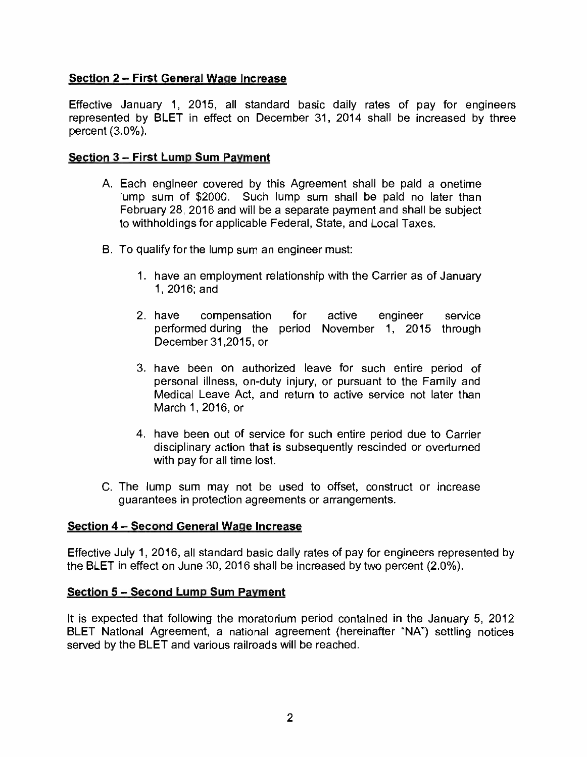# Section 2 - First General Wage Increase

Effective January 1, 2015, all standard basic daily rates of pay for engineers represented by BLET in effect on December 31, 2014 shall be increased by three percent  $(3.0\%)$ .

#### Section 3 - First Lump Sum Payment

- A. Each engineer covered by this Agreement shall be paid a onetime lump sum of \$2000. Such lump sum shall be paid no later than February 28, 2016 and will be a separate payment and shall be subject to withholdings for applicable Federal, State, and Local Taxes.
- B. To qualify for the lump sum an engineer must:
	- 1. have an employment relationship with the Carrier as of January 1, 2016; and
	- 2. have compensation for active engineer service performed during the period November 1, 2015 through December 31,2015, or
	- 3. have been on authorized leave for such entire period of personal illness, on -duty injury, or pursuant to the Family and Medical Leave Act, and return to active service not later than March 1, 2016, or
	- 4. have been out of service for such entire period due to Carrier disciplinary action that is subsequently rescinded or overturned with pay for all time lost.
- C. The lump sum may not be used to offset, construct or increase guarantees in protection agreements or arrangements.

#### Section 4 - Second General Wage Increase

Effective July 1, 2016, all standard basic daily rates of pay for engineers represented by the BLET in effect on June 30, 2016 shall be increased by two percent (2.0 %).

#### Section 5 - Second Lump Sum Payment

It is expected that following the moratorium period contained in the January 5, 2012 BLET National Agreement, a national agreement (hereinafter "NA") settling notices served by the BLET and various railroads will be reached.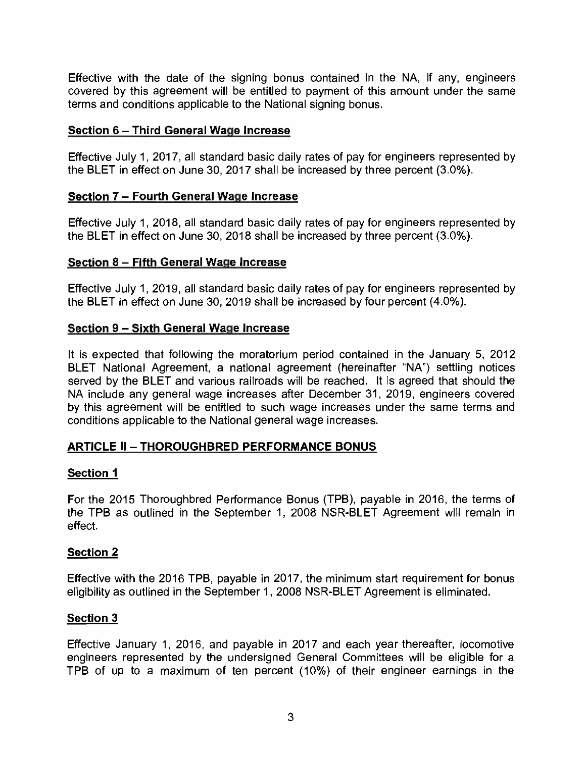Effective with the date of the signing bonus contained in the NA, if any, engineers covered by this agreement will be entitled to payment of this amount under the same terms and conditions applicable to the National signing bonus.

### Section 6 - Third General Wage Increase

Effective July 1, 2017, all standard basic daily rates of pay for engineers represented by the BLET in effect on June 30, 2017 shall be increased by three percent (3.0 %).

### Section 7 - Fourth General Wage Increase

Effective July 1, 2018, all standard basic daily rates of pay for engineers represented by the BLET in effect on June 30, 2018 shall be increased by three percent (3.0 %).

### Section 8 - Fifth General Wage Increase

Effective July 1, 2019, all standard basic daily rates of pay for engineers represented by the BLET in effect on June 30, 2019 shall be increased by four percent (4.0%).

### Section 9 – Sixth General Wage Increase

It is expected that following the moratorium period contained in the January 5, 2012 BLET National Agreement, a national agreement (hereinafter "NA") settling notices served by the BLET and various railroads will be reached. It is agreed that should the NA include any general wage increases after December 31, 2019, engineers covered by this agreement will be entitled to such wage increases under the same terms and conditions applicable to the National general wage increases.

# ARTICLE II - THOROUGHBRED PERFORMANCE BONUS

### Section 1

For the 2015 Thoroughbred Performance Bonus (TPB), payable in 2016, the terms of the TPB as outlined in the September 1, 2008 NSR-BLET Agreement will remain in effect.

### Section 2

Effective with the 2016 TPB, payable in 2017, the minimum start requirement for bonus eligibility as outlined in the September 1, 2008 NSR-BLET Agreement is eliminated.

# Section 3

Effective January 1, 2016, and payable in 2017 and each year thereafter, locomotive engineers represented by the undersigned General Committees will be eligible for a TPB of up to a maximum of ten percent (10%) of their engineer earnings in the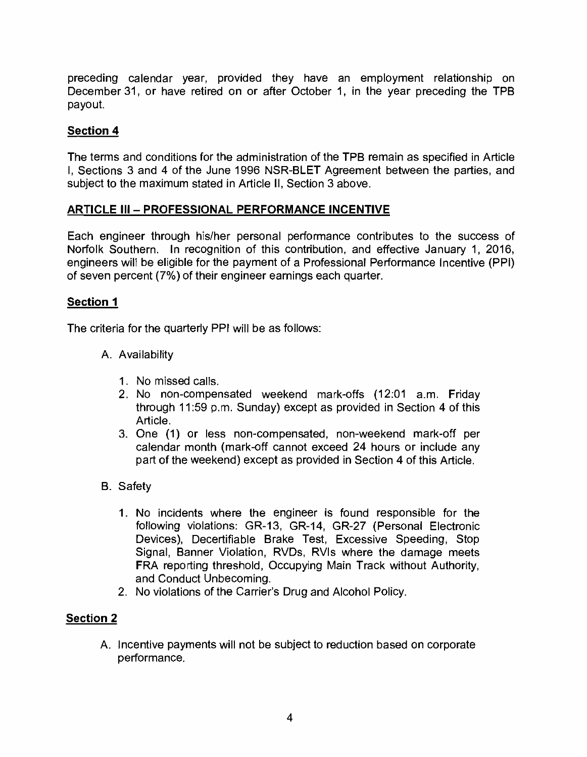preceding calendar year, provided they have an employment relationship on December31, or have retired on or after October 1, in the year preceding the TPB payout.

# Section 4

The terms and conditions for the administration of the TPB remain as specified in Article I, Sections 3 and 4 of the June 1996 NSR -BLET Agreement between the parties, and subject to the maximum stated in Article II, Section 3 above.

### ARTICLE III - PROFESSIONAL PERFORMANCE INCENTIVE

Each engineer through his/her personal performance contributes to the success of Norfolk Southern. In recognition of this contribution, and effective January 1, 2016, engineers will be eligible for the payment of a Professional Performance Incentive (PPI) of seven percent (7 %) of their engineer earnings each quarter.

### Section 1

The criteria for the quarterly PPI will be as follows:

- A. Availability
	- 1. No missed calls.
	- 2. No non -compensated weekend mark -offs (12:01 a.m. Friday through 11:59 p.m. Sunday) except as provided in Section 4 of this Article.
	- 3. One (1) or less non -compensated, non -weekend mark -off per calendar month (mark -off cannot exceed 24 hours or include any part of the weekend) except as provided in Section 4 of this Article.
- B. Safety
	- 1. No incidents where the engineer is found responsible for the following violations: GR-13, GR-14, GR-27 (Personal Electronic Devices), Decertifiable Brake Test, Excessive Speeding, Stop Signal, Banner Violation, RVDs, RVIs where the damage meets FRA reporting threshold, Occupying Main Track without Authority, and Conduct Unbecoming.
	- 2. No violations of the Carrier's Drug and Alcohol Policy.

# Section 2

A. Incentive payments will not be subject to reduction based on corporate performance.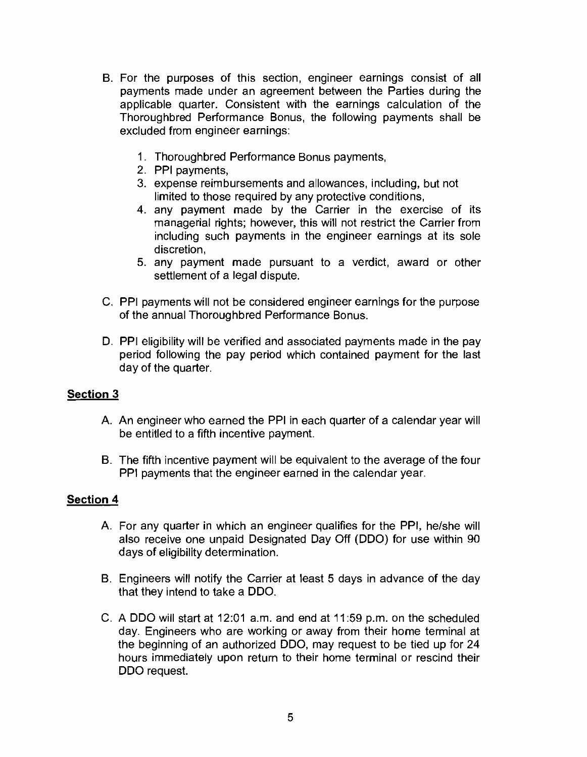- B. For the purposes of this section, engineer earnings consist of all payments made under an agreement between the Parties during the applicable quarter. Consistent with the earnings calculation of the Thoroughbred Performance Bonus, the following payments shall be excluded from engineer earnings:
	- 1. Thoroughbred Performance Bonus payments,
	- 2. PPI payments,
	- 3. expense reimbursements and allowances, including, but not limited to those required by any protective conditions,
	- 4. any payment made by the Carrier in the exercise of its managerial rights; however, this will not restrict the Carrier from including such payments in the engineer earnings at its sole discretion,
	- 5. any payment made pursuant to a verdict, award or other settlement of a legal dispute.
- C. PPI payments will not be considered engineer earnings for the purpose of the annual Thoroughbred Performance Bonus.
- D. PPI eligibility will be verified and associated payments made in the pay period following the pay period which contained payment for the last day of the quarter.

# Section 3

- A. An engineer who earned the PPI in each quarter of a calendar year will be entitled to a fifth incentive payment.
- B. The fifth incentive payment will be equivalent to the average of the four PPI payments that the engineer earned in the calendar year.

### Section 4

- A. For any quarter in which an engineer qualifies for the PPI, he/she will also receive one unpaid Designated Day Off (DDO) for use within 90 days of eligibility determination.
- B. Engineers will notify the Carrier at least 5 days in advance of the day that they intend to take a DDO.
- C. A DDO will start at 12:01 a.m. and end at 11:59 p.m. on the scheduled day. Engineers who are working or away from their home terminal at the beginning of an authorized DDO, may request to be tied up for 24 hours immediately upon return to their home terminal or rescind their DDO request.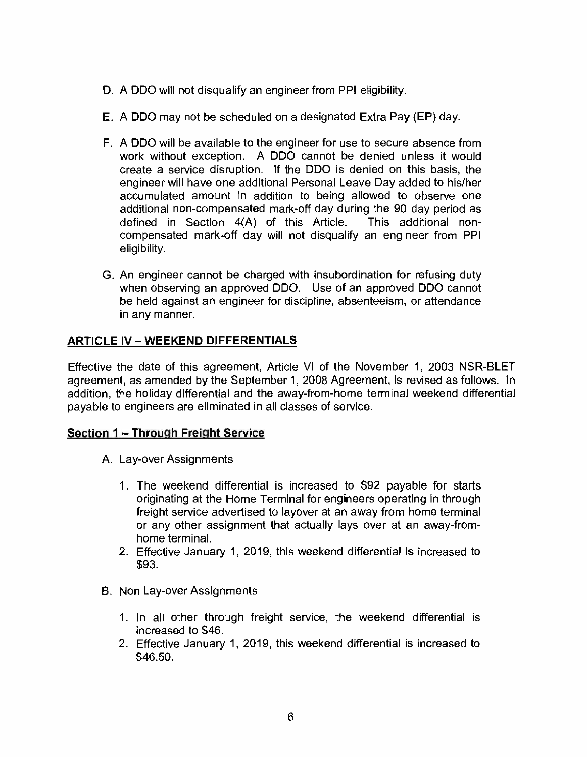- D. A DDO will not disqualify an engineer from PPI eligibility.
- E. A DDO may not be scheduled on a designated Extra Pay (EP) day.
- F. A DDO will be available to the engineer for use to secure absence from work without exception. A DDO cannot be denied unless it would create a service disruption. If the DDO is denied on this basis, the engineer will have one additional Personal Leave Day added to his/her accumulated amount in addition to being allowed to observe one additional non-compensated mark-off day during the 90 day period as defined in Section 4(A) of this Article. This additional noncompensated mark -off day will not disqualify an engineer from PPI eligibility.
- G. An engineer cannot be charged with insubordination for refusing duty when observing an approved DDO. Use of an approved DDO cannot be held against an engineer for discipline, absenteeism, or attendance in any manner.

# **ARTICLE IV - WEEKEND DIFFERENTIALS**

Effective the date of this agreement, Article VI of the November 1, 2003 NSR -BLET agreement, as amended by the September 1, 2008 Agreement, is revised as follows. In addition, the holiday differential and the away- from -home terminal weekend differential payable to engineers are eliminated in all classes of service.

# Section 1 - Through Freight Service

- A. Lay-over Assignments
	- 1. The weekend differential is increased to \$92 payable for starts originating at the Home Terminal for engineers operating in through freight service advertised to layover at an away from home terminal or any other assignment that actually lays over at an away -fromhome terminal.
	- 2. Effective January 1, 2019, this weekend differential is increased to \$93.
- B. Non Lay -over Assignments
	- 1. In all other through freight service, the weekend differential is increased to \$46.
	- 2. Effective January 1, 2019, this weekend differential is increased to \$46.50.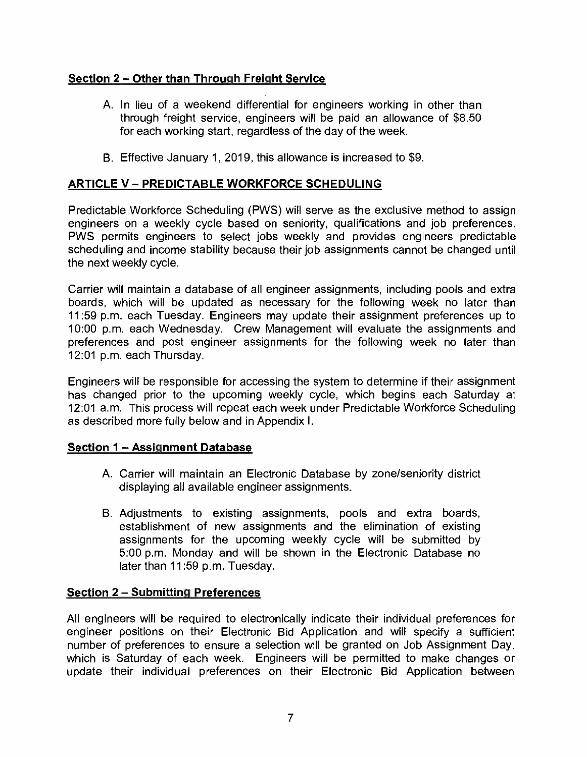# Section 2 - Other than Through Freight Service

- A. In lieu of a weekend differential for engineers working in other than through freight service, engineers will be paid an allowance of \$8.50 for each working start, regardless of the day of the week.
- B. Effective January 1, 2019, this allowance is increased to \$9.

# ARTICLE V - PREDICTABLE WORKFORCE SCHEDULING

Predictable Workforce Scheduling (PWS) will serve as the exclusive method to assign engineers on a weekly cycle based on seniority, qualifications and job preferences. PWS permits engineers to select jobs weekly and provides engineers predictable scheduling and income stability because their job assignments cannot be changed until the next weekly cycle.

Carrier will maintain a database of all engineer assignments, including pools and extra boards, which will be updated as necessary for the following week no later than 11:59 p.m. each Tuesday. Engineers may update their assignment preferences up to 10:00 p.m. each Wednesday. Crew Management will evaluate the assignments and preferences and post engineer assignments for the following week no later than 12:01 p.m. each Thursday.

Engineers will be responsible for accessing the system to determine if their assignment has changed prior to the upcoming weekly cycle, which begins each Saturday at 12:01 a.m. This process will repeat each week under Predictable Workforce Scheduling as described more fully below and in Appendix I.

### Section 1 - Assignment Database

- A. Carrier will maintain an Electronic Database by zone/seniority district displaying all available engineer assignments.
- B. Adjustments to existing assignments, pools and extra boards, establishment of new assignments and the elimination of existing assignments for the upcoming weekly cycle will be submitted by 5:00 p.m. Monday and will be shown in the Electronic Database no later than 11:59 p.m. Tuesday.

### Section 2 - Submitting Preferences

All engineers will be required to electronically indicate their individual preferences for engineer positions on their Electronic Bid Application and will specify a sufficient number of preferences to ensure a selection will be granted on Job Assignment Day, which is Saturday of each week. Engineers will be permitted to make changes or update their individual preferences on their Electronic Bid Application between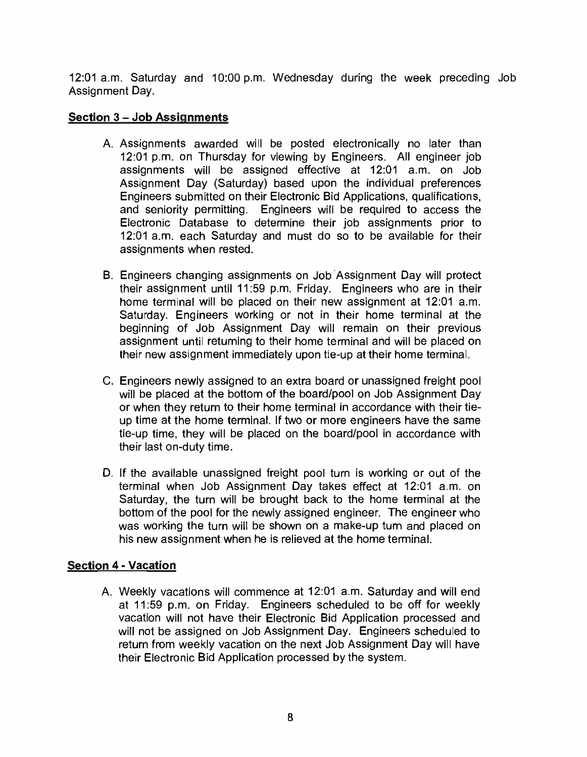12:01 a.m. Saturday and 10:00 p.m. Wednesday during the week preceding Job Assignment Day.

### Section 3 – Job Assignments

- A. Assignments awarded will be posted electronically no later than 12:01 p.m. on Thursday for viewing by Engineers. All engineer job assignments will be assigned effective at 12:01 a.m. on Job Assignment Day (Saturday) based upon the individual preferences Engineers submitted on their Electronic Bid Applications, qualifications, and seniority permitting. Engineers will be required to access the Electronic Database to determine their job assignments prior to 12:01 a.m. each Saturday and must do so to be available for their assignments when rested.
- B. Engineers changing assignments on Job Assignment Day will protect their assignment until 11:59 p.m. Friday. Engineers who are in their home terminal will be placed on their new assignment at 12:01 a.m. Saturday. Engineers working or not in their home terminal at the beginning of Job Assignment Day will remain on their previous assignment until returning to their home terminal and will be placed on their new assignment immediately upon tie -up at their home terminal.
- C. Engineers newly assigned to an extra board or unassigned freight pool will be placed at the bottom of the board/pool on Job Assignment Day or when they return to their home terminal in accordance with their tieup time at the home terminal. If two or more engineers have the same tie-up time, they will be placed on the board/pool in accordance with their last on -duty time.
- D. If the available unassigned freight pool turn is working or out of the terminal when Job Assignment Day takes effect at 12:01 a.m. on Saturday, the turn will be brought back to the home terminal at the bottom of the pool for the newly assigned engineer. The engineer who was working the turn will be shown on a make-up turn and placed on his new assignment when he is relieved at the home terminal.

# Section 4 - Vacation

A. Weekly vacations will commence at 12:01 a.m. Saturday and will end at 11:59 p.m. on Friday. Engineers scheduled to be off for weekly vacation will not have their Electronic Bid Application processed and will not be assigned on Job Assignment Day. Engineers scheduled to return from weekly vacation on the next Job Assignment Day will have their Electronic Bid Application processed by the system.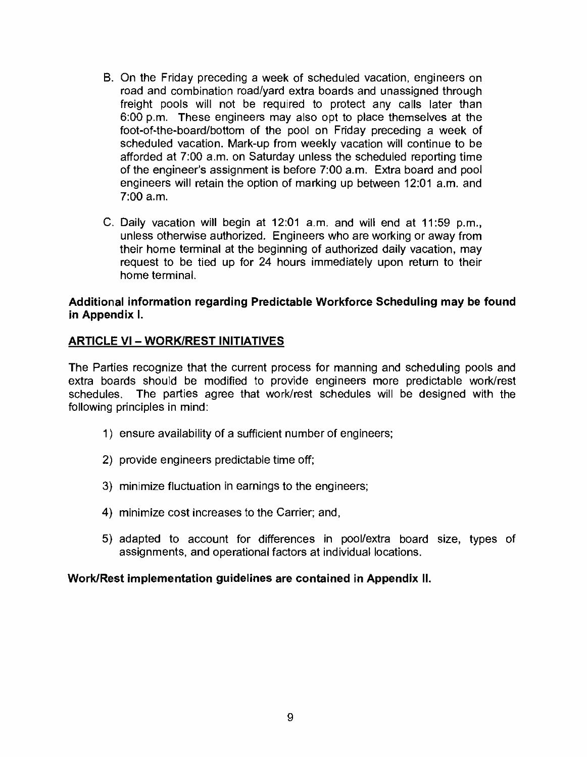- B. On the Friday preceding a week of scheduled vacation, engineers on road and combination road/yard extra boards and unassigned through freight pools will not be required to protect any calls later than 6:00 p.m. These engineers may also opt to place themselves at the foot-of-the-board/bottom of the pool on Friday preceding a week of scheduled vacation. Mark-up from weekly vacation will continue to be afforded at 7:00 a.m. on Saturday unless the scheduled reporting time of the engineer's assignment is before 7:00 a.m. Extra board and pool engineers will retain the option of marking up between 12:01 a.m. and 7:00 a.m.
- C. Daily vacation will begin at 12:01 a.m. and will end at 11:59 p.m., unless otherwise authorized. Engineers who are working or away from their home terminal at the beginning of authorized daily vacation, may request to be tied up for 24 hours immediately upon return to their home terminal.

#### Additional information regarding Predictable Workforce Scheduling may be found in Appendix I.

### **ARTICLE VI - WORK/REST INITIATIVES**

The Parties recognize that the current process for manning and scheduling pools and extra boards should be modified to provide engineers more predictable work/rest schedules. The parties agree that work/rest schedules will be designed with the following principles in mind:

- 1) ensure availability of a sufficient number of engineers;
- 2) provide engineers predictable time off;
- 3) minimize fluctuation in earnings to the engineers;
- 4) minimize cost increases to the Carrier; and,
- 5) adapted to account for differences in pool/extra board size, types of assignments, and operational factors at individual locations.

Work/Rest implementation guidelines are contained in Appendix II.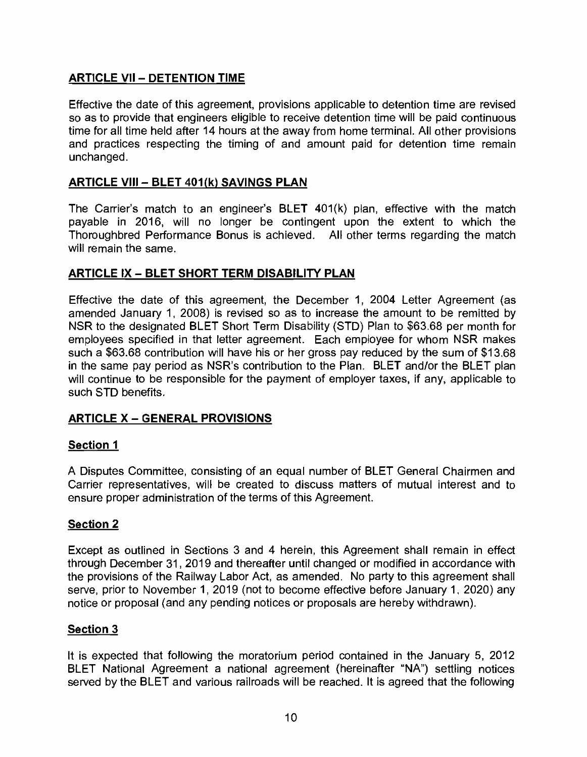# **ARTICLE VII - DETENTION TIME**

Effective the date of this agreement, provisions applicable to detention time are revised so as to provide that engineers eligible to receive detention time will be paid continuous time for all time held after 14 hours at the away from home terminal. All other provisions and practices respecting the timing of and amount paid for detention time remain unchanged.

### ARTICLE VIII - BLET 401(k) SAVINGS PLAN

The Carrier's match to an engineer's BLET 401(k) plan, effective with the match payable in 2016, will no longer be contingent upon the extent to which the Thoroughbred Performance Bonus is achieved. All other terms regarding the match will remain the same.

### ARTICLE IX - BLET SHORT TERM DISABILITY PLAN

Effective the date of this agreement, the December 1, 2004 Letter Agreement (as amended January 1, 2008) is revised so as to increase the amount to be remitted by NSR to the designated BLET Short Term Disability (STD) Plan to \$63.68 per month for employees specified in that letter agreement. Each employee for whom NSR makes such a \$63.68 contribution will have his or her gross pay reduced by the sum of \$13,68 in the same pay period as NSR's contribution to the Plan. BLET and/or the BLET plan will continue to be responsible for the payment of employer taxes, if any, applicable to such STD benefits.

# ARTICLE X - GENERAL PROVISIONS

### Section 1

A Disputes Committee, consisting of an equal number of BLET General Chairmen and Carrier representatives, will be created to discuss matters of mutual interest and to ensure proper administration of the terms of this Agreement.

### Section 2

Except as outlined in Sections 3 and 4 herein, this Agreement shall remain in effect through December 31, 2019 and thereafter until changed or modified in accordance with the provisions of the Railway Labor Act, as amended. No party to this agreement shall serve, prior to November 1, 2019 (not to become effective before January 1, 2020) any notice or proposal (and any pending notices or proposals are hereby withdrawn).

### Section 3

It is expected that following the moratorium period contained in the January 5, 2012 BLET National Agreement a national agreement (hereinafter "NA") settling notices served by the BLET and various railroads will be reached. It is agreed that the following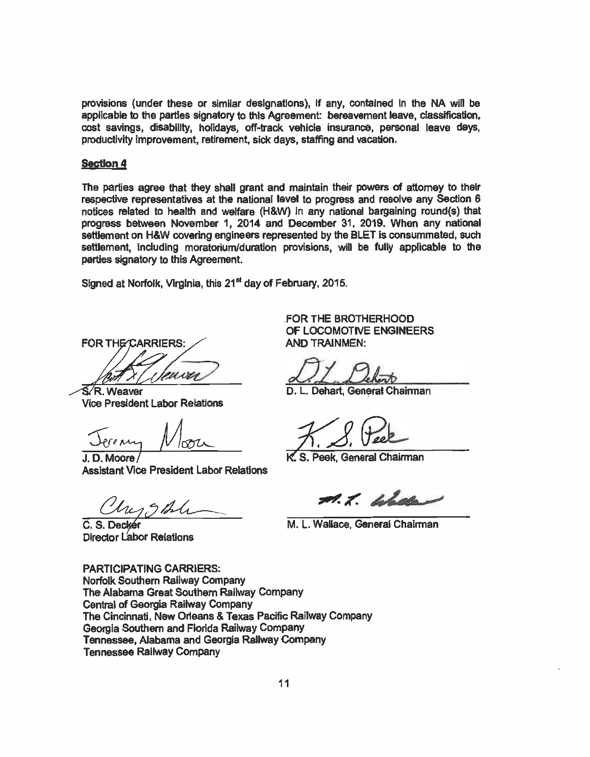provisions (under these or similar designations), If any, contained In the NA will be applicable to the parties signatory to this Agreement bereavement leave, classification, cost savings, disability, holidays, off -track vehicle insurance, personal leave days, productivity improvement, retirement, sick days, staffing and vacation.

#### Section 4

The parties agree that they shall grant and maintain their powers of attorney to their respective representatives at the national level to progress and resolve any Section 6 notices related to health and welfare (H&W) in any national bargaining round(s) that progress between November 1, 2014 and December 31, 2019. When any national settlement on H&W covering engineers represented by the BLET is consummated, such settlement, including moratorium/duration provisions, will be fully applicable to the parties signatory to this Agreement.

Signed at Norfolk, Virginia, this 21<sup>st</sup> day of February, 2015.

**FOR THE CARRIERS:** wu

R. Weaver Vice President Labor Relations

Jerenny Moon 7

J. D. Moore/ Assistant Vice President Labor Relations

C. S. Decké Director Labor Relations

FOR THE BROTHERHOOD OF LOCOMOTIVE ENGINEERS AND TRAINMEN:

D. L. Dehart, General Chairman

S. Peek, General Chairman

M. L. Whale

M. L. Wallace, General Chairman

PARTICIPATING CARRIERS; Norfolk Southern Railway Company The Alabama Great Southern Railway Company Central of Georgia Railway Company The Cincinnati, New Orleans & Texas Pacific Railway Company Georgia Southern and Florida Railway Company Tennessee, Alabama and Georgia Railway Company Tennessee Railway Company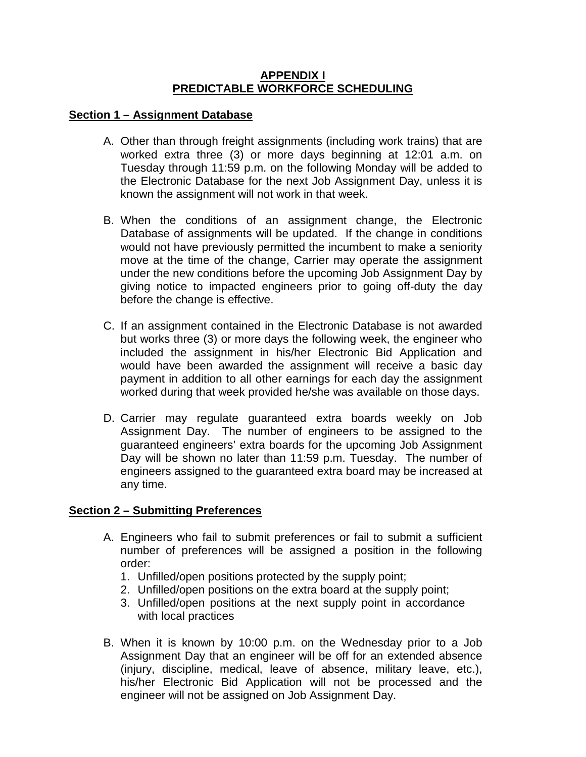#### **APPENDIX I PREDICTABLE WORKFORCE SCHEDULING**

#### **Section 1 – Assignment Database**

- A. Other than through freight assignments (including work trains) that are worked extra three (3) or more days beginning at 12:01 a.m. on Tuesday through 11:59 p.m. on the following Monday will be added to the Electronic Database for the next Job Assignment Day, unless it is known the assignment will not work in that week.
- B. When the conditions of an assignment change, the Electronic Database of assignments will be updated. If the change in conditions would not have previously permitted the incumbent to make a seniority move at the time of the change, Carrier may operate the assignment under the new conditions before the upcoming Job Assignment Day by giving notice to impacted engineers prior to going off-duty the day before the change is effective.
- C. If an assignment contained in the Electronic Database is not awarded but works three (3) or more days the following week, the engineer who included the assignment in his/her Electronic Bid Application and would have been awarded the assignment will receive a basic day payment in addition to all other earnings for each day the assignment worked during that week provided he/she was available on those days.
- D. Carrier may regulate guaranteed extra boards weekly on Job Assignment Day. The number of engineers to be assigned to the guaranteed engineers' extra boards for the upcoming Job Assignment Day will be shown no later than 11:59 p.m. Tuesday. The number of engineers assigned to the guaranteed extra board may be increased at any time.

### **Section 2 – Submitting Preferences**

- A. Engineers who fail to submit preferences or fail to submit a sufficient number of preferences will be assigned a position in the following order:
	- 1. Unfilled/open positions protected by the supply point;
	- 2. Unfilled/open positions on the extra board at the supply point;
	- 3. Unfilled/open positions at the next supply point in accordance with local practices
- B. When it is known by 10:00 p.m. on the Wednesday prior to a Job Assignment Day that an engineer will be off for an extended absence (injury, discipline, medical, leave of absence, military leave, etc.), his/her Electronic Bid Application will not be processed and the engineer will not be assigned on Job Assignment Day.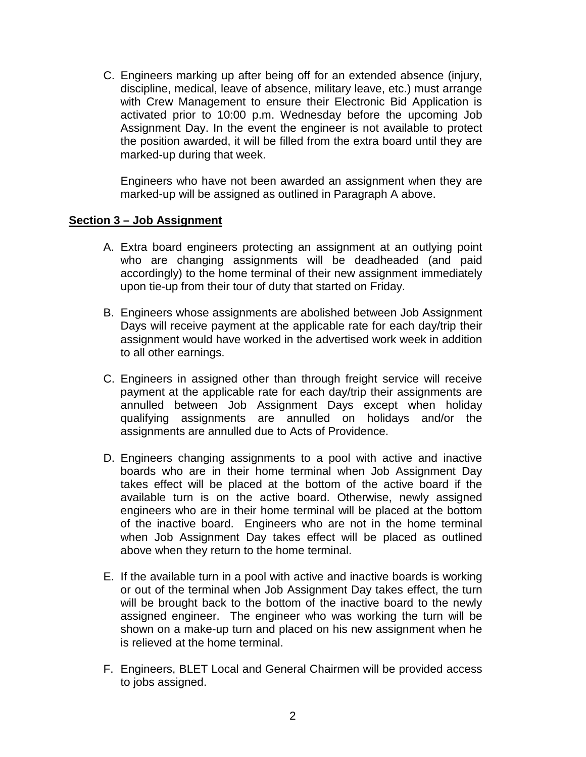C. Engineers marking up after being off for an extended absence (injury, discipline, medical, leave of absence, military leave, etc.) must arrange with Crew Management to ensure their Electronic Bid Application is activated prior to 10:00 p.m. Wednesday before the upcoming Job Assignment Day. In the event the engineer is not available to protect the position awarded, it will be filled from the extra board until they are marked-up during that week.

Engineers who have not been awarded an assignment when they are marked-up will be assigned as outlined in Paragraph A above.

### **Section 3 – Job Assignment**

- A. Extra board engineers protecting an assignment at an outlying point who are changing assignments will be deadheaded (and paid accordingly) to the home terminal of their new assignment immediately upon tie-up from their tour of duty that started on Friday.
- B. Engineers whose assignments are abolished between Job Assignment Days will receive payment at the applicable rate for each day/trip their assignment would have worked in the advertised work week in addition to all other earnings.
- C. Engineers in assigned other than through freight service will receive payment at the applicable rate for each day/trip their assignments are annulled between Job Assignment Days except when holiday qualifying assignments are annulled on holidays and/or the assignments are annulled due to Acts of Providence.
- D. Engineers changing assignments to a pool with active and inactive boards who are in their home terminal when Job Assignment Day takes effect will be placed at the bottom of the active board if the available turn is on the active board. Otherwise, newly assigned engineers who are in their home terminal will be placed at the bottom of the inactive board. Engineers who are not in the home terminal when Job Assignment Day takes effect will be placed as outlined above when they return to the home terminal.
- E. If the available turn in a pool with active and inactive boards is working or out of the terminal when Job Assignment Day takes effect, the turn will be brought back to the bottom of the inactive board to the newly assigned engineer. The engineer who was working the turn will be shown on a make-up turn and placed on his new assignment when he is relieved at the home terminal.
- F. Engineers, BLET Local and General Chairmen will be provided access to jobs assigned.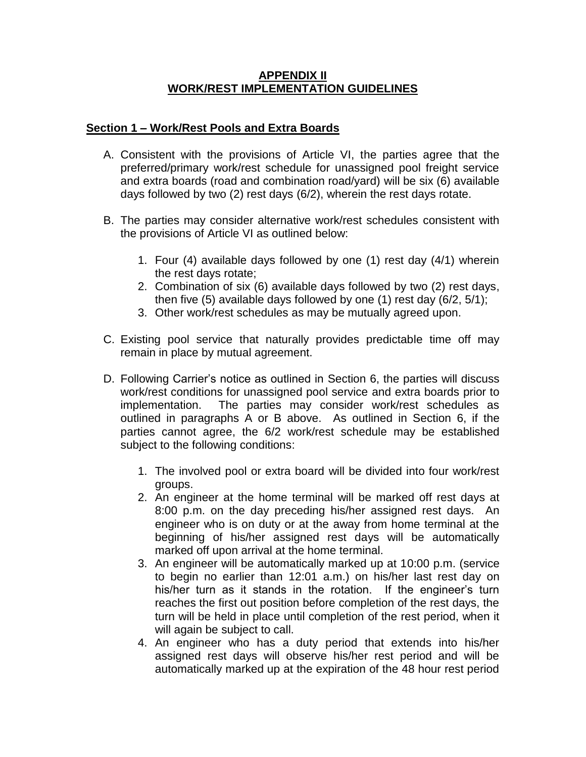### **APPENDIX II WORK/REST IMPLEMENTATION GUIDELINES**

### **Section 1 – Work/Rest Pools and Extra Boards**

- A. Consistent with the provisions of Article VI, the parties agree that the preferred/primary work/rest schedule for unassigned pool freight service and extra boards (road and combination road/yard) will be six (6) available days followed by two (2) rest days (6/2), wherein the rest days rotate.
- B. The parties may consider alternative work/rest schedules consistent with the provisions of Article VI as outlined below:
	- 1. Four (4) available days followed by one (1) rest day (4/1) wherein the rest days rotate;
	- 2. Combination of six (6) available days followed by two (2) rest days, then five (5) available days followed by one (1) rest day (6/2, 5/1);
	- 3. Other work/rest schedules as may be mutually agreed upon.
- C. Existing pool service that naturally provides predictable time off may remain in place by mutual agreement.
- D. Following Carrier's notice as outlined in Section 6, the parties will discuss work/rest conditions for unassigned pool service and extra boards prior to implementation. The parties may consider work/rest schedules as outlined in paragraphs A or B above. As outlined in Section 6, if the parties cannot agree, the 6/2 work/rest schedule may be established subject to the following conditions:
	- 1. The involved pool or extra board will be divided into four work/rest groups.
	- 2. An engineer at the home terminal will be marked off rest days at 8:00 p.m. on the day preceding his/her assigned rest days. An engineer who is on duty or at the away from home terminal at the beginning of his/her assigned rest days will be automatically marked off upon arrival at the home terminal.
	- 3. An engineer will be automatically marked up at 10:00 p.m. (service to begin no earlier than 12:01 a.m.) on his/her last rest day on his/her turn as it stands in the rotation. If the engineer's turn reaches the first out position before completion of the rest days, the turn will be held in place until completion of the rest period, when it will again be subject to call.
	- 4. An engineer who has a duty period that extends into his/her assigned rest days will observe his/her rest period and will be automatically marked up at the expiration of the 48 hour rest period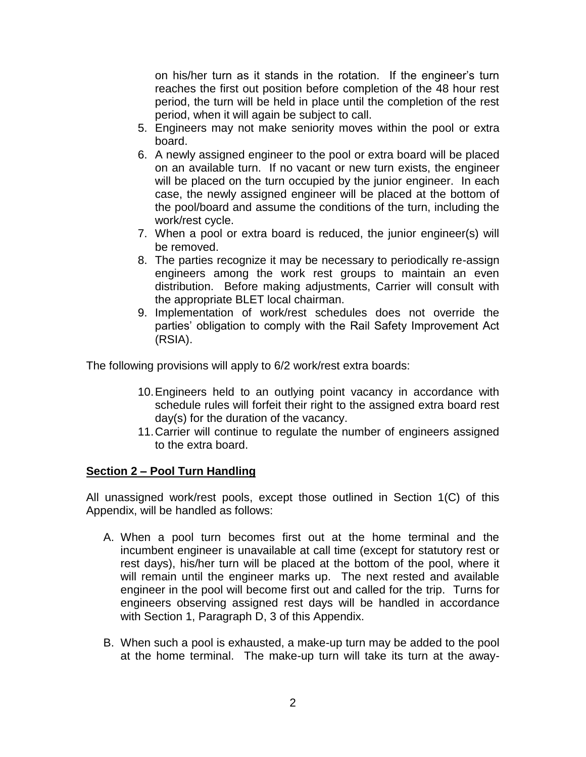on his/her turn as it stands in the rotation. If the engineer's turn reaches the first out position before completion of the 48 hour rest period, the turn will be held in place until the completion of the rest period, when it will again be subject to call.

- 5. Engineers may not make seniority moves within the pool or extra board.
- 6. A newly assigned engineer to the pool or extra board will be placed on an available turn. If no vacant or new turn exists, the engineer will be placed on the turn occupied by the junior engineer. In each case, the newly assigned engineer will be placed at the bottom of the pool/board and assume the conditions of the turn, including the work/rest cycle.
- 7. When a pool or extra board is reduced, the junior engineer(s) will be removed.
- 8. The parties recognize it may be necessary to periodically re-assign engineers among the work rest groups to maintain an even distribution. Before making adjustments, Carrier will consult with the appropriate BLET local chairman.
- 9. Implementation of work/rest schedules does not override the parties' obligation to comply with the Rail Safety Improvement Act (RSIA).

The following provisions will apply to 6/2 work/rest extra boards:

- 10.Engineers held to an outlying point vacancy in accordance with schedule rules will forfeit their right to the assigned extra board rest day(s) for the duration of the vacancy.
- 11.Carrier will continue to regulate the number of engineers assigned to the extra board.

# **Section 2 – Pool Turn Handling**

All unassigned work/rest pools, except those outlined in Section 1(C) of this Appendix, will be handled as follows:

- A. When a pool turn becomes first out at the home terminal and the incumbent engineer is unavailable at call time (except for statutory rest or rest days), his/her turn will be placed at the bottom of the pool, where it will remain until the engineer marks up. The next rested and available engineer in the pool will become first out and called for the trip. Turns for engineers observing assigned rest days will be handled in accordance with Section 1, Paragraph D, 3 of this Appendix.
- B. When such a pool is exhausted, a make-up turn may be added to the pool at the home terminal. The make-up turn will take its turn at the away-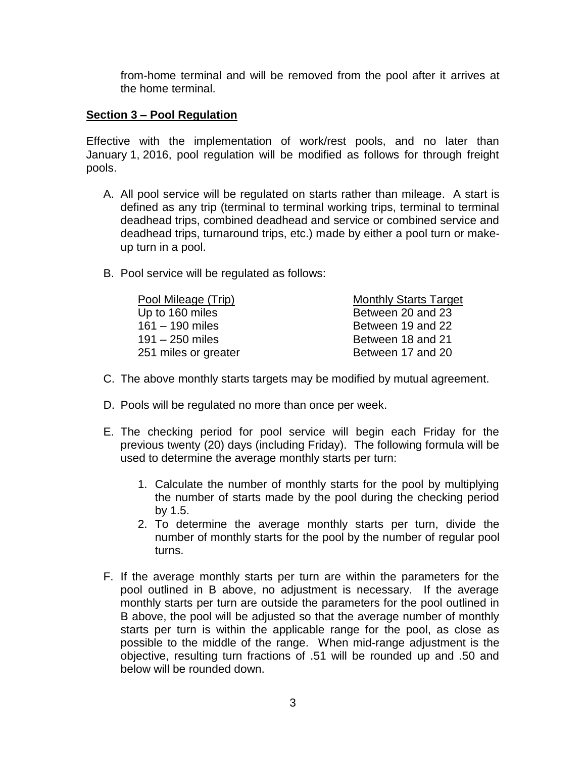from-home terminal and will be removed from the pool after it arrives at the home terminal.

#### **Section 3 – Pool Regulation**

Effective with the implementation of work/rest pools, and no later than January 1, 2016, pool regulation will be modified as follows for through freight pools.

- A. All pool service will be regulated on starts rather than mileage. A start is defined as any trip (terminal to terminal working trips, terminal to terminal deadhead trips, combined deadhead and service or combined service and deadhead trips, turnaround trips, etc.) made by either a pool turn or makeup turn in a pool.
- B. Pool service will be regulated as follows:

| Pool Mileage (Trip)  | <b>Monthly Starts Target</b> |
|----------------------|------------------------------|
| Up to 160 miles      | Between 20 and 23            |
| $161 - 190$ miles    | Between 19 and 22            |
| $191 - 250$ miles    | Between 18 and 21            |
| 251 miles or greater | Between 17 and 20            |
|                      |                              |

- C. The above monthly starts targets may be modified by mutual agreement.
- D. Pools will be regulated no more than once per week.
- E. The checking period for pool service will begin each Friday for the previous twenty (20) days (including Friday). The following formula will be used to determine the average monthly starts per turn:
	- 1. Calculate the number of monthly starts for the pool by multiplying the number of starts made by the pool during the checking period by 1.5.
	- 2. To determine the average monthly starts per turn, divide the number of monthly starts for the pool by the number of regular pool turns.
- F. If the average monthly starts per turn are within the parameters for the pool outlined in B above, no adjustment is necessary. If the average monthly starts per turn are outside the parameters for the pool outlined in B above, the pool will be adjusted so that the average number of monthly starts per turn is within the applicable range for the pool, as close as possible to the middle of the range. When mid-range adjustment is the objective, resulting turn fractions of .51 will be rounded up and .50 and below will be rounded down.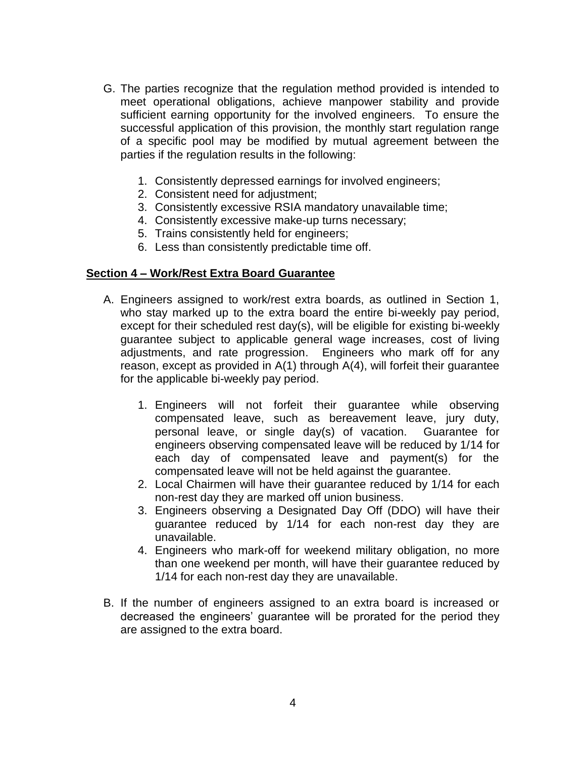- G. The parties recognize that the regulation method provided is intended to meet operational obligations, achieve manpower stability and provide sufficient earning opportunity for the involved engineers. To ensure the successful application of this provision, the monthly start regulation range of a specific pool may be modified by mutual agreement between the parties if the regulation results in the following:
	- 1. Consistently depressed earnings for involved engineers;
	- 2. Consistent need for adjustment;
	- 3. Consistently excessive RSIA mandatory unavailable time;
	- 4. Consistently excessive make-up turns necessary;
	- 5. Trains consistently held for engineers;
	- 6. Less than consistently predictable time off.

#### **Section 4 – Work/Rest Extra Board Guarantee**

- A. Engineers assigned to work/rest extra boards, as outlined in Section 1, who stay marked up to the extra board the entire bi-weekly pay period, except for their scheduled rest day(s), will be eligible for existing bi-weekly guarantee subject to applicable general wage increases, cost of living adjustments, and rate progression. Engineers who mark off for any reason, except as provided in A(1) through A(4), will forfeit their guarantee for the applicable bi-weekly pay period.
	- 1. Engineers will not forfeit their guarantee while observing compensated leave, such as bereavement leave, jury duty, personal leave, or single day(s) of vacation. Guarantee for engineers observing compensated leave will be reduced by 1/14 for each day of compensated leave and payment(s) for the compensated leave will not be held against the guarantee.
	- 2. Local Chairmen will have their guarantee reduced by 1/14 for each non-rest day they are marked off union business.
	- 3. Engineers observing a Designated Day Off (DDO) will have their guarantee reduced by 1/14 for each non-rest day they are unavailable.
	- 4. Engineers who mark-off for weekend military obligation, no more than one weekend per month, will have their guarantee reduced by 1/14 for each non-rest day they are unavailable.
- B. If the number of engineers assigned to an extra board is increased or decreased the engineers' guarantee will be prorated for the period they are assigned to the extra board.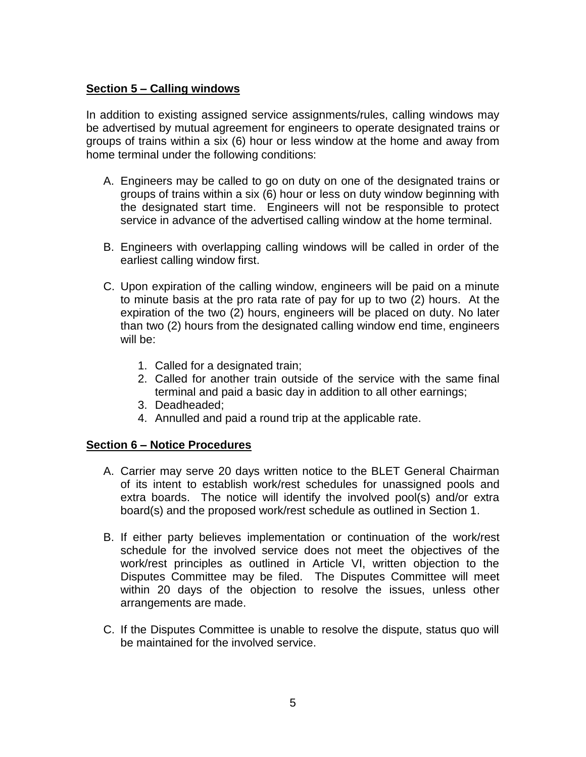### **Section 5 – Calling windows**

In addition to existing assigned service assignments/rules, calling windows may be advertised by mutual agreement for engineers to operate designated trains or groups of trains within a six (6) hour or less window at the home and away from home terminal under the following conditions:

- A. Engineers may be called to go on duty on one of the designated trains or groups of trains within a six (6) hour or less on duty window beginning with the designated start time. Engineers will not be responsible to protect service in advance of the advertised calling window at the home terminal.
- B. Engineers with overlapping calling windows will be called in order of the earliest calling window first.
- C. Upon expiration of the calling window, engineers will be paid on a minute to minute basis at the pro rata rate of pay for up to two (2) hours. At the expiration of the two (2) hours, engineers will be placed on duty. No later than two (2) hours from the designated calling window end time, engineers will be:
	- 1. Called for a designated train;
	- 2. Called for another train outside of the service with the same final terminal and paid a basic day in addition to all other earnings;
	- 3. Deadheaded;
	- 4. Annulled and paid a round trip at the applicable rate.

# **Section 6 – Notice Procedures**

- A. Carrier may serve 20 days written notice to the BLET General Chairman of its intent to establish work/rest schedules for unassigned pools and extra boards. The notice will identify the involved pool(s) and/or extra board(s) and the proposed work/rest schedule as outlined in Section 1.
- B. If either party believes implementation or continuation of the work/rest schedule for the involved service does not meet the objectives of the work/rest principles as outlined in Article VI, written objection to the Disputes Committee may be filed. The Disputes Committee will meet within 20 days of the objection to resolve the issues, unless other arrangements are made.
- C. If the Disputes Committee is unable to resolve the dispute, status quo will be maintained for the involved service.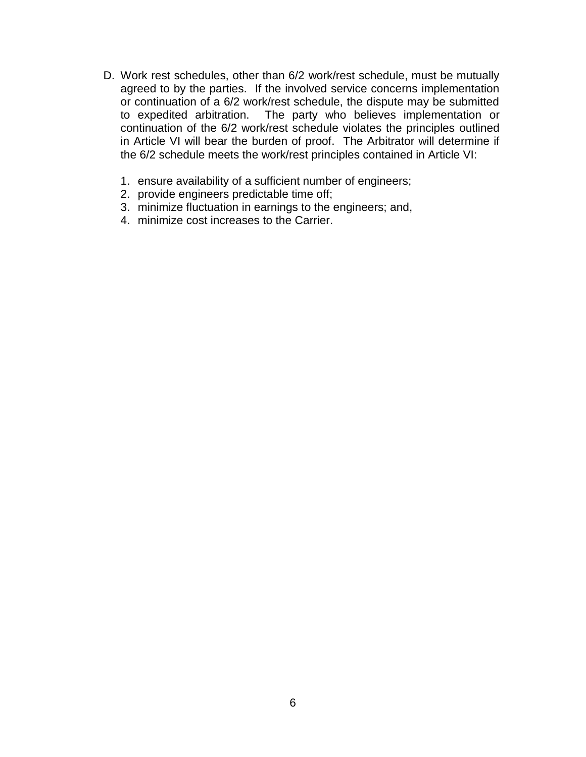- D. Work rest schedules, other than 6/2 work/rest schedule, must be mutually agreed to by the parties. If the involved service concerns implementation or continuation of a 6/2 work/rest schedule, the dispute may be submitted to expedited arbitration. The party who believes implementation or continuation of the 6/2 work/rest schedule violates the principles outlined in Article VI will bear the burden of proof. The Arbitrator will determine if the 6/2 schedule meets the work/rest principles contained in Article VI:
	- 1. ensure availability of a sufficient number of engineers;
	- 2. provide engineers predictable time off;
	- 3. minimize fluctuation in earnings to the engineers; and,
	- 4. minimize cost increases to the Carrier.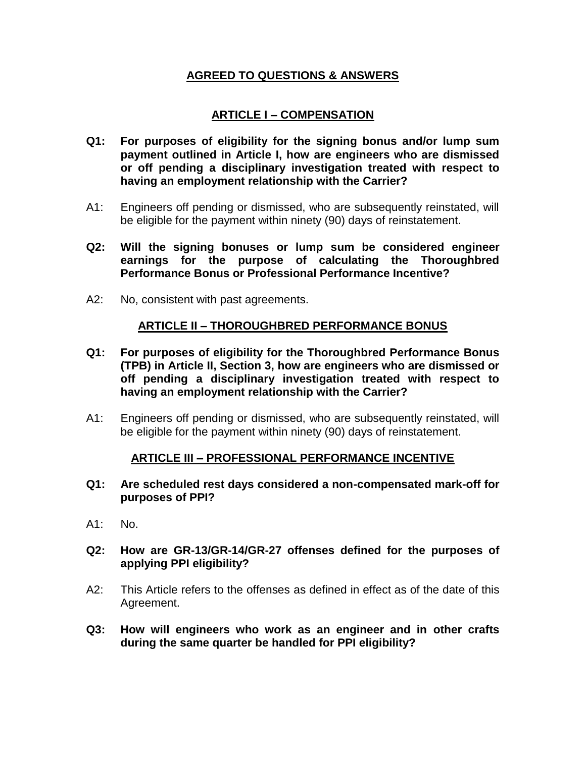## **AGREED TO QUESTIONS & ANSWERS**

# **ARTICLE I – COMPENSATION**

- **Q1: For purposes of eligibility for the signing bonus and/or lump sum payment outlined in Article I, how are engineers who are dismissed or off pending a disciplinary investigation treated with respect to having an employment relationship with the Carrier?**
- A1: Engineers off pending or dismissed, who are subsequently reinstated, will be eligible for the payment within ninety (90) days of reinstatement.
- **Q2: Will the signing bonuses or lump sum be considered engineer earnings for the purpose of calculating the Thoroughbred Performance Bonus or Professional Performance Incentive?**
- A2: No, consistent with past agreements.

### **ARTICLE II – THOROUGHBRED PERFORMANCE BONUS**

- **Q1: For purposes of eligibility for the Thoroughbred Performance Bonus (TPB) in Article II, Section 3, how are engineers who are dismissed or off pending a disciplinary investigation treated with respect to having an employment relationship with the Carrier?**
- A1: Engineers off pending or dismissed, who are subsequently reinstated, will be eligible for the payment within ninety (90) days of reinstatement.

### **ARTICLE III – PROFESSIONAL PERFORMANCE INCENTIVE**

- **Q1: Are scheduled rest days considered a non-compensated mark-off for purposes of PPI?**
- A1: No.
- **Q2: How are GR-13/GR-14/GR-27 offenses defined for the purposes of applying PPI eligibility?**
- A2: This Article refers to the offenses as defined in effect as of the date of this Agreement.
- **Q3: How will engineers who work as an engineer and in other crafts during the same quarter be handled for PPI eligibility?**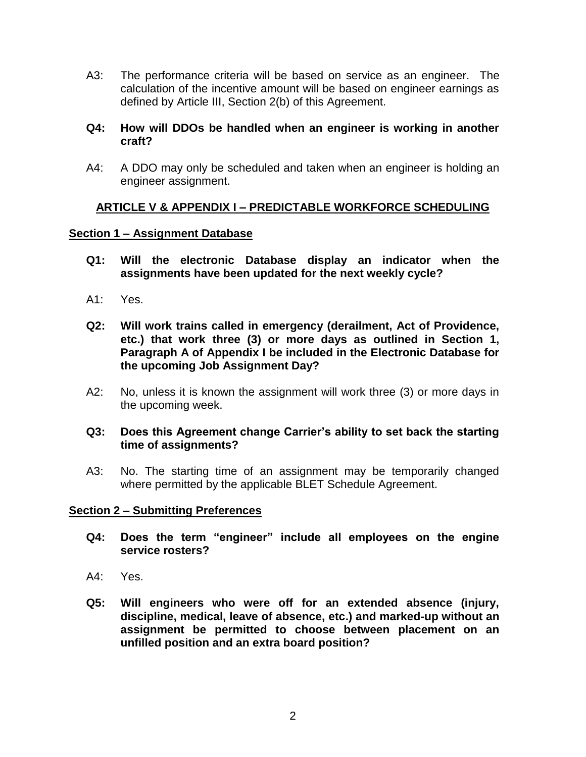A3: The performance criteria will be based on service as an engineer. The calculation of the incentive amount will be based on engineer earnings as defined by Article III, Section 2(b) of this Agreement.

#### **Q4: How will DDOs be handled when an engineer is working in another craft?**

A4: A DDO may only be scheduled and taken when an engineer is holding an engineer assignment.

### **ARTICLE V & APPENDIX I – PREDICTABLE WORKFORCE SCHEDULING**

#### **Section 1 – Assignment Database**

- **Q1: Will the electronic Database display an indicator when the assignments have been updated for the next weekly cycle?**
- A1: Yes.
- **Q2: Will work trains called in emergency (derailment, Act of Providence, etc.) that work three (3) or more days as outlined in Section 1, Paragraph A of Appendix I be included in the Electronic Database for the upcoming Job Assignment Day?**
- A2: No, unless it is known the assignment will work three (3) or more days in the upcoming week.

#### **Q3: Does this Agreement change Carrier's ability to set back the starting time of assignments?**

A3: No. The starting time of an assignment may be temporarily changed where permitted by the applicable BLET Schedule Agreement.

#### **Section 2 – Submitting Preferences**

- **Q4: Does the term "engineer" include all employees on the engine service rosters?**
- A4: Yes.
- **Q5: Will engineers who were off for an extended absence (injury, discipline, medical, leave of absence, etc.) and marked-up without an assignment be permitted to choose between placement on an unfilled position and an extra board position?**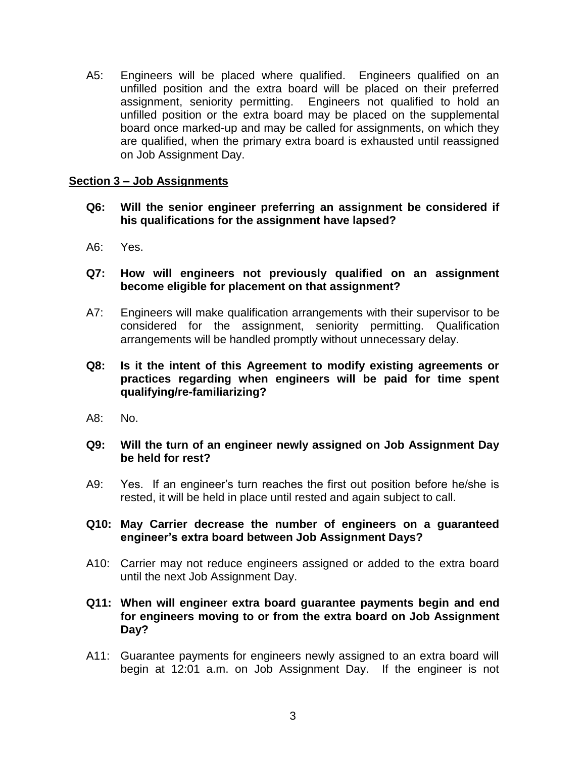A5: Engineers will be placed where qualified. Engineers qualified on an unfilled position and the extra board will be placed on their preferred assignment, seniority permitting. Engineers not qualified to hold an unfilled position or the extra board may be placed on the supplemental board once marked-up and may be called for assignments, on which they are qualified, when the primary extra board is exhausted until reassigned on Job Assignment Day.

### **Section 3 – Job Assignments**

- **Q6: Will the senior engineer preferring an assignment be considered if his qualifications for the assignment have lapsed?**
- A6: Yes.
- **Q7: How will engineers not previously qualified on an assignment become eligible for placement on that assignment?**
- A7: Engineers will make qualification arrangements with their supervisor to be considered for the assignment, seniority permitting. Qualification arrangements will be handled promptly without unnecessary delay.
- **Q8: Is it the intent of this Agreement to modify existing agreements or practices regarding when engineers will be paid for time spent qualifying/re-familiarizing?**
- A8: No.

#### **Q9: Will the turn of an engineer newly assigned on Job Assignment Day be held for rest?**

- A9: Yes. If an engineer's turn reaches the first out position before he/she is rested, it will be held in place until rested and again subject to call.
- **Q10: May Carrier decrease the number of engineers on a guaranteed engineer's extra board between Job Assignment Days?**
- A10: Carrier may not reduce engineers assigned or added to the extra board until the next Job Assignment Day.
- **Q11: When will engineer extra board guarantee payments begin and end for engineers moving to or from the extra board on Job Assignment Day?**
- A11: Guarantee payments for engineers newly assigned to an extra board will begin at 12:01 a.m. on Job Assignment Day. If the engineer is not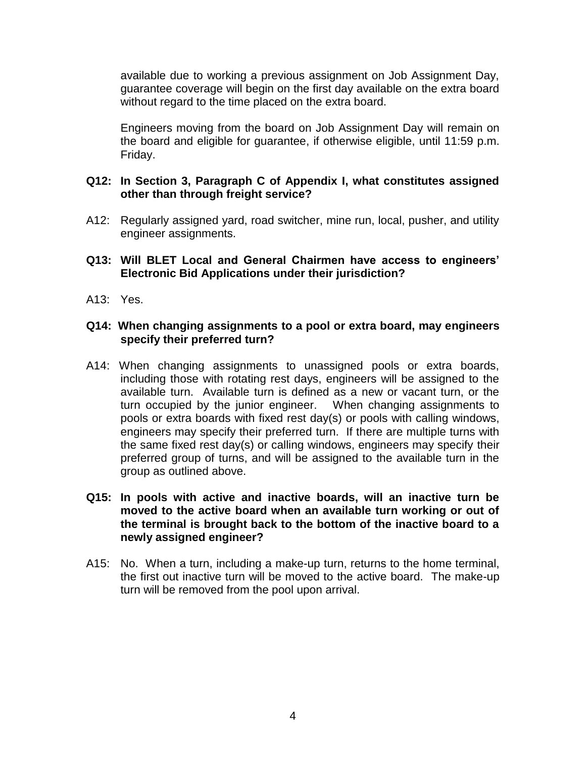available due to working a previous assignment on Job Assignment Day, guarantee coverage will begin on the first day available on the extra board without regard to the time placed on the extra board.

Engineers moving from the board on Job Assignment Day will remain on the board and eligible for guarantee, if otherwise eligible, until 11:59 p.m. Friday.

#### **Q12: In Section 3, Paragraph C of Appendix I, what constitutes assigned other than through freight service?**

- A12: Regularly assigned yard, road switcher, mine run, local, pusher, and utility engineer assignments.
- **Q13: Will BLET Local and General Chairmen have access to engineers' Electronic Bid Applications under their jurisdiction?**
- A13: Yes.

#### **Q14: When changing assignments to a pool or extra board, may engineers specify their preferred turn?**

A14: When changing assignments to unassigned pools or extra boards, including those with rotating rest days, engineers will be assigned to the available turn. Available turn is defined as a new or vacant turn, or the turn occupied by the junior engineer. When changing assignments to pools or extra boards with fixed rest day(s) or pools with calling windows, engineers may specify their preferred turn. If there are multiple turns with the same fixed rest day(s) or calling windows, engineers may specify their preferred group of turns, and will be assigned to the available turn in the group as outlined above.

#### **Q15: In pools with active and inactive boards, will an inactive turn be moved to the active board when an available turn working or out of the terminal is brought back to the bottom of the inactive board to a newly assigned engineer?**

A15: No. When a turn, including a make-up turn, returns to the home terminal, the first out inactive turn will be moved to the active board. The make-up turn will be removed from the pool upon arrival.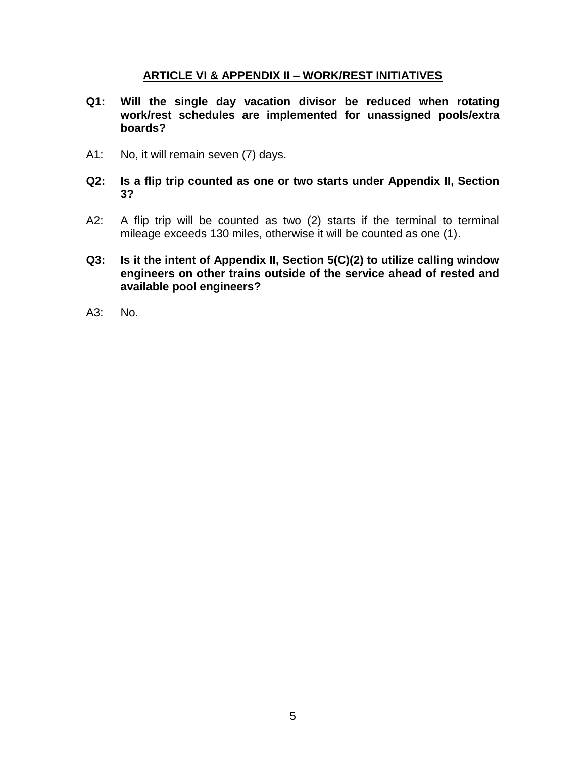### **ARTICLE VI & APPENDIX II – WORK/REST INITIATIVES**

- **Q1: Will the single day vacation divisor be reduced when rotating work/rest schedules are implemented for unassigned pools/extra boards?**
- A1: No, it will remain seven (7) days.
- **Q2: Is a flip trip counted as one or two starts under Appendix II, Section 3?**
- A2: A flip trip will be counted as two (2) starts if the terminal to terminal mileage exceeds 130 miles, otherwise it will be counted as one (1).
- **Q3: Is it the intent of Appendix II, Section 5(C)(2) to utilize calling window engineers on other trains outside of the service ahead of rested and available pool engineers?**
- A3: No.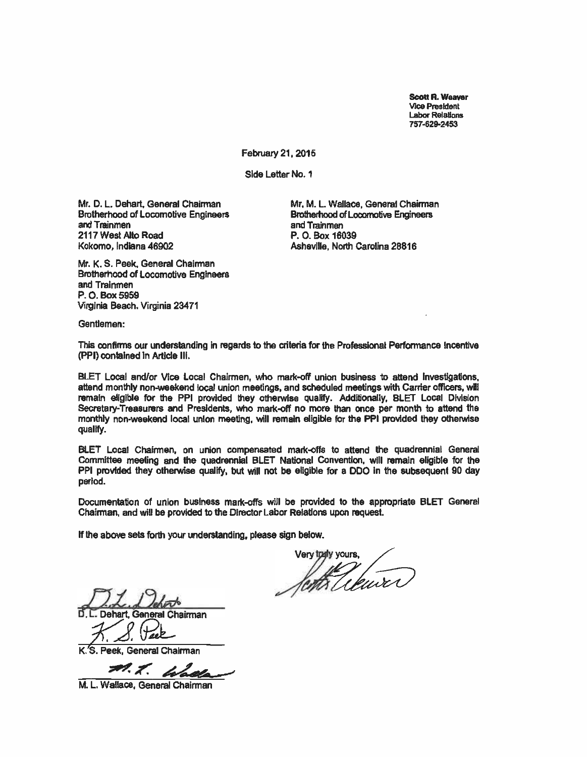Scott R. Weaver Vice President Labor Relations 757 -629.2453

February 21, 2015

Side Letter No. 1

Mr. D. L. Dehart, General Chairman Brotherhood of Locomotive Engineers and Trainmen 2117 West Alto Road Kokomo, Indiana 46902

Mr. M. L. Wallace, General Chairman **Brotherhood of Locomotive Engineers** and Trainmen P. O. Box 16039 Asheville, North Carolina 28816

Mr. K. S. Peek, General Chairman Brotherhood of Locomotive Engineers and Trainmen P.O. Box 5959 Virginia Beach. Virginia 23471

Gentlemen:

This confirms our understanding in regards to the criteria for the Professional Performance Incentive (PPI) contained in Article III.

BLET Local and/or Vice Local Chairmen, who mark -off union business to attend Investigations, attend monthly non-weekend local union meetings, and scheduled meetings with Carrier officers, will remain eligible for the PPI provided they otherwise qualify. Additionally, BLET Local Division Secretary- Treasurers and Presidents, who mark-off no more than once per month to attend the monthly non-weekend local union meeting, will remain eligible for the PPI provided they otherwise qualify.

BLET Local Chairmen, on union compensated mark-offs to attend the quadrennial General Committee meeting and the quadrennial BLET National Convention, will remain eligible for the PPI provided they otherwise qualify, but will not be eligible for a DDO in the subsequent 90 day period.

Documentation of union business mark-offs will be provided to the appropriate BLET General Chairman, and will be provided to the Director Labor Relations upon request.

lent the kure

General Chairman

D. L. Dehart, General Chairman<br>
X. S. Peek, General Chairman<br>
X. X. Leader

M. L. Wallace, General Chairman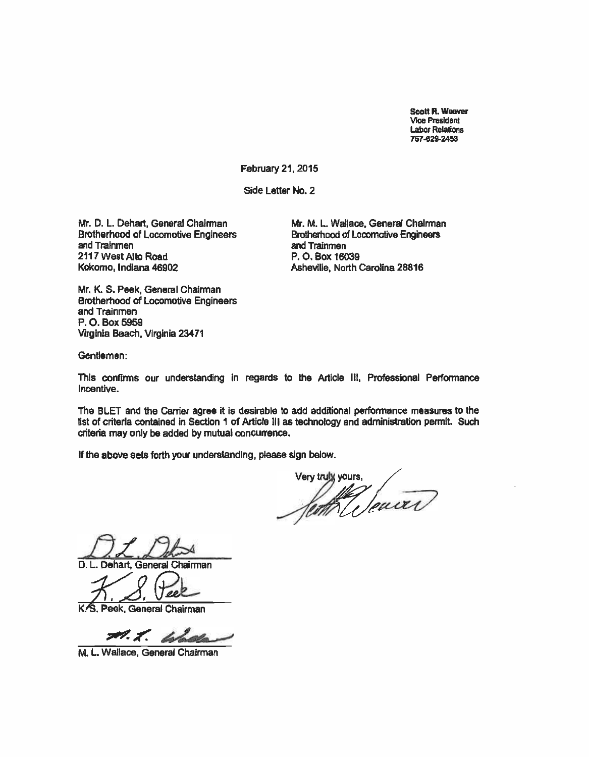Scott R. Weaver Vice President Labor Relations 757429-2453

February 21, 2015

Side Letter No. 2

Mr. D. L. Dehart, General Chairman Brotherhood of Locomotive Engineers and Trainmen 2117 West Alto Road Kokomo, Indiana 46902

Mr. M. L. Wallace, General Chairman Brotherhood of Locomotive Engineers and Trainmen P. O. Box 16039 Asheville, North Carolina 28816

Mr. K. S. Peek, General Chairman Brotherhood of Locomotive Engineers and Trainmen P. O. Box 5959 Virginia Beach, Virginia 23471

Gentlemen:

This confirms our understanding in regards to the Article III, Professional Performance Incentive.

The BLET and the Carrier agree it is desirable to add additional performance measures to the list of criteria contained in Section 1 of Article III as technology and administration permit. Such criteria may only be added by mutual concurrence.

Very truly yours,

D. L. Dehart, General Chairman

00

K.S. Peek, General Chairman

M.L. Wallace

M. L. Wallace, General Chairman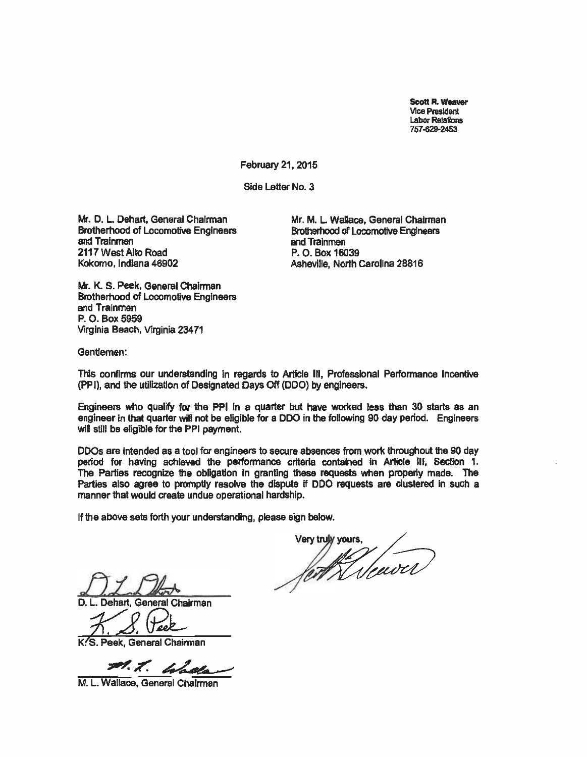Scott R. Weaver Vice President Labor Relations 757-629-2453

February 21, 2015

Side Letter No. 3

Mr. D. L. Dehart, General Chairman Brotherhood of Locomotive Engineers and Trainmen 2117 West Alto Road Kokomo, Indiana 46902

Mr. M. L. Wallace, General Chairman Brotherhood of Locomotive Engineers and Trainmen P. O. Box 16039 Asheville, North Carolina 28816

Mr. K. S. Peek, General Chairman Brotherhood of Locomotive Engineers and Trainmen P. O. Box 5959 Virginia Beach, Virginia 23471

Gentlemen:

This confirms our understanding in regards to Article Ill, Professional Performance Incentive (PPI), and the utilization of Designated Days Off (DDO) by engineers.

Engineers who qualify for the PPI in a quarter but have worked less than 30 starts as an engineer in that quarter will not be eligible for a DDO in the following 90 day period. Engineers will still be eligible for the PPI payment.

DDOs are intended as a tool for engineers to secure absences from work throughout the 90 day period for having achieved the performance criteria contained in Article Ill, Section 1. The Parties recognize the obligation In granting these requests when properly made. The Parties also agree to promptly resolve the dispute if DDO requests are clustered in such a manner that would create undue operational hardship.

If the above sets forth your understanding, please sign below.

Very truly yours,

Dehart, General Chairman

K.S. Peek. General Chairman

M. T. Chala

M. L. Wallace, General Chairman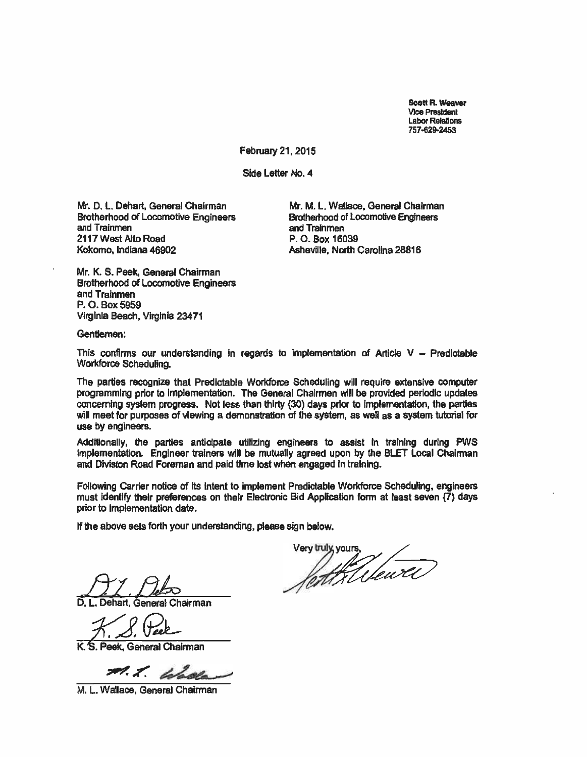Scott R. Weaver Vice President Labor Relations 757429-2453

February 21, 2015

Side Letter No. 4

Mr. D. L. Dehart, General Chairman Brotherhood of Locomotive Engineers and Trainmen 2117 West Alto Road Kokomo, Indiana 46902

Mr. M. L. Wallace, General Chairman Brotherhood of Locomotive Engineers and Trainmen P. 0. Box 16039 Asheville, North Carolina 28816

Mr. K. S. Peek, General Chairman Brotherhood of Locomotive Engineers and Trainmen P. 0. Box 5959 Virginia Beach, Virginia 23471

Gentlemen:

This confirms our understanding in regards to implementation of Article  $V -$  Predictable Workforce Scheduling.

The parties recognize that Predictable Workforce Scheduling will require extensive computer programming prior to implementation. The General Chairmen will be provided periodic updates concerning system progress. Not less than thirty (30) days prior to implementation, the parties will meet for purposes of viewing a demonstration of the system, as well as a system tutorial for use by engineers.

Additionally, the parties anticipate utilizing engineers to assist in training during PWS Implementation. Engineer trainers will be mutually agreed upon by the BLET Local Chairman and Division Road Foreman and paid time lost when engaged in training.

Following Carrier notice of its intent to implement Predictable Workforce Scheduling, engineers must identify their preferences on their Electronic Bid Application form at least seven (7) days prior to implementation date.

Dehart, General Chairman

K. S. Peek, General Chairman

M. T. Woola

M. L. Wallace, General Chairman

Very truly yours,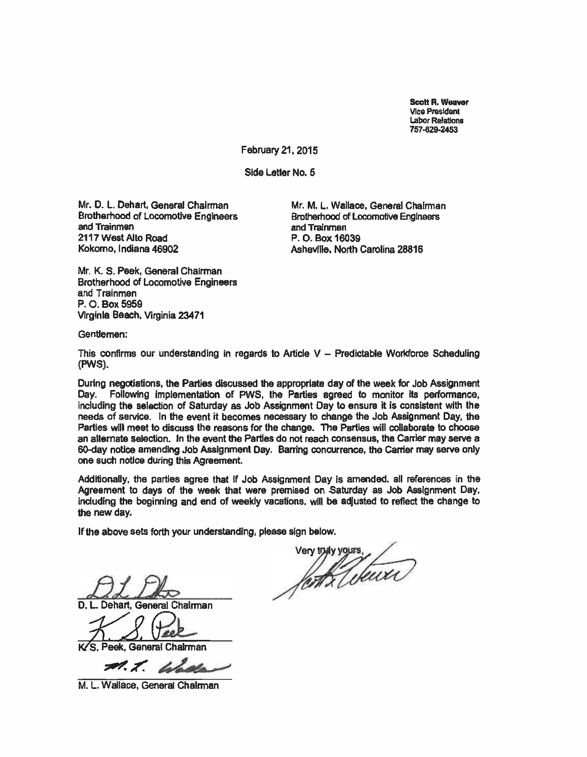Scott R. Weaver Vice President Labor Relations 757 -829 -2453

February 21, 2015

Side Letter No. 5

Mr. D. L. Dehart, General Chairman Brotherhood of Locomotive Engineers and Trainmen 2117 West Alto Road Kokomo, Indiana 46902

Mr. M. L. Wallace, General Chairman Brotherhood of Locomotive Engineers and Trainmen P. O. Box 16039 Asheville, North Carolina 28816

Mr. K S. Peek, General Chairman Brotherhood of Locomotive Engineers and Trainmen P. O. Box 5959 Virginia Beach, Virginia 23471

Gentlemen:

This confirms our understanding in regards to Article V - Predictable Workforce Scheduling (PWS).

During negotiations, the Parties discussed the appropriate day of the week for Job Assignment Day. Following implementation of PWS, the Parties agreed to monitor its performance, including the selection of Saturday as Job Assignment Day to ensure it is consistent with the needs of service. In the event it becomes necessary to change the Job Assignment Day, the Parties will meet to discuss the reasons for the change. The Parties will collaborate to choose an alternate selection. In the event the Parties do not reach consensus, the Carrier may serve a 60-day notice amending Job Assignment Day. Barring concurrence, the Carrier may serve only one such notice during this Agreement.

Additionally, the parties agree that if Job Assignment Day is amended, all references in the Agreement to days of the week that were premised on Saturday as Job Assignment Day, including the beginning and end of weekly vacations, will be adjusted to reflect the change to the new day.

if the above sets forth your understanding, please sign below.

D1 Db

D. L. Dehart, General Chairman

K/S. Peek, General Chairman

M. L. Walla

M. L. Wallace, General Chairman

Very tryly yours,  $\overline{\phantom{a}}$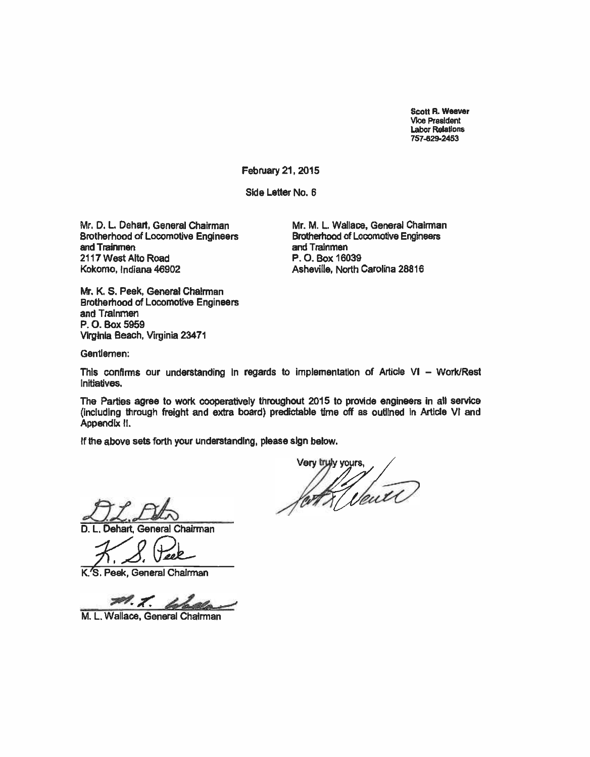Scott R. Weaver Vice President Labor Relations 757-629-2453

February 21, 2015

Side Letter No. 6

Mr. D. L. Dehart, General Chairman Brotherhood of Locomotive Engineers and Trainmen 2117 West Alto Road Kokomo, Indiana 46902

Mr. M. L. Wallace, General Chairman Brotherhood of Locomotive Engineers and Trainmen P. O. Box 16039 Asheville, North Carolina 28816

Mr. K. S. Peek, General Chairman Brotherhood of Locomotive Engineers and Trainmen P. O. Box 5959 Virginia Beach, Virginia 23471

Gentlemen:

This confirms our understanding in regards to implementation of Article VI - Work/Rest Initiatives.

The Parties agree to work cooperatively throughout 2015 to provide engineers in all service (including through freight and extra board) predictable time off as outlined in Article VI and Appendix II.

Dehart, General Chairman

K. S. Peek, General Chairman

M.T. La

M. L. Wallace, General Chairman

Very tryly yours, fort Vener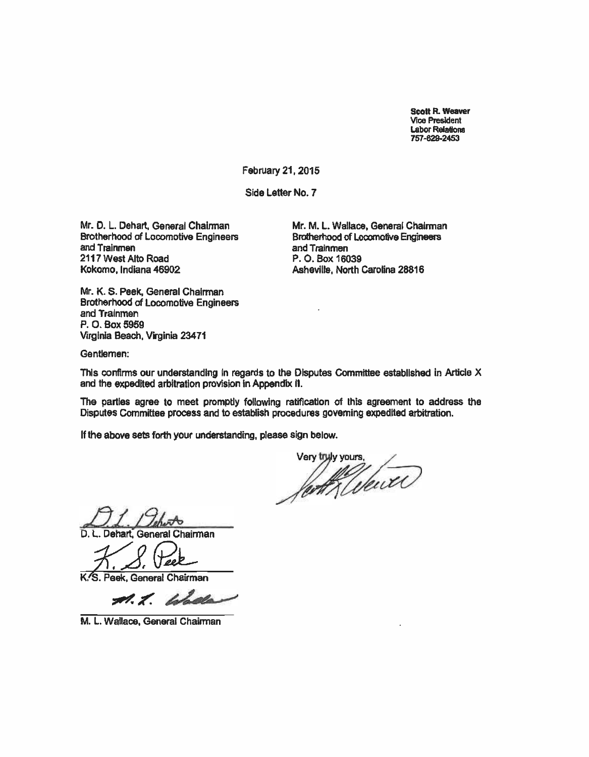Scott R. Weaver Vice President Labor Relations 757 -829 -2453

February 21, 2015

Side Letter No. 7

Mr. D. L. Dehart, General Chairman Brotherhood of Locomotive Engineers and Trainmen 2117 West Alto Road Kokomo, Indiana 46902

Mr. M. L. Wallace, General Chairman Brotherhood of Locomotive Engineers and Trainmen P. O. Box 16039 Asheville, North Carolina 28816

Mr. K. S. Peek, General Chairman Brotherhood of Locomotive Engineers and Trainmen P. O. Box 5959 Virginia Beach, Virginia 23471

Gentlemen:

This confirms our understanding in regards to the Disputes Committee established in Article X and the expedited arbitration provision in Appendix If.

The parties agree to meet promptly following ratification of this agreement to address the Disputes Committee process and to establish procedures governing expedited arbitration.

Very tryly yours.

D. L. Dehart, General Chairman<br> *A. S. Peek*<br>
K. Reak General Chairman

K'S. Peek, General Chairman<br>A. K. Lolask

M. L. Wallace, General Chairman